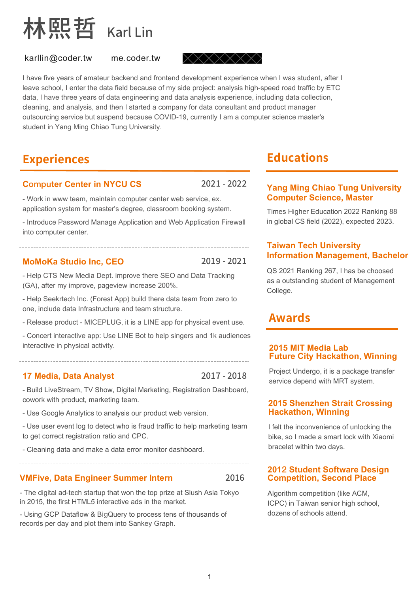

karllin@coder.tw me.coder.tw

 $\times \times \times \times \times \times$ 

I have five years of amateur backend and frontend development experience when I was student, after I leave school, I enter the data field because of my side project: analysis high-speed road traffic by ETC data, I have three years of data engineering and data analysis experience, including data collection, cleaning, and analysis, and then I started a company for data consultant and product manager outsourcing service but suspend because COVID-19, currently I am a computer science master's student in Yang Ming Chiao Tung University.

**Experiences**

# **Computer Center in NYCU CS** 2021-2022

- Work in www team, maintain computer center web service, ex. application system for master's degree, classroom booking system.

- Introduce Password Manage Application and Web Application Firewall into computer center.

# **MoMoKa Studio Inc, CEO** 2019 - 2021

- Help CTS New Media Dept. improve there SEO and Data Tracking (GA), after my improve, pageview increase 200%.

- Help Seekrtech Inc. (Forest App) build there data team from zero to one, include data Infrastructure and team structure.

- Release product - MICEPLUG, it is a LINE app for physical event use.

- Concert interactive app: Use LINE Bot to help singers and 1k audiences interactive in physical activity.

# **17 Media, Data Analyst**

2017-2018

- Build LiveStream, TV Show, Digital Marketing, Registration Dashboard, cowork with product, marketing team.

- Use Google Analytics to analysis our product web version.

- Use user event log to detect who is fraud traffic to help marketing team to get correct registration ratio and CPC.

- Cleaning data and make a data error monitor dashboard.

# **VMFive, Data Engineer Summer Intern** 2016

- The digital ad-tech startup that won the top prize at Slush Asia Tokyo in 2015, the first HTML5 interactive ads in the market.

- Using GCP Dataflow & BigQuery to process tens of thousands of records per day and plot them into Sankey Graph.

# **Educations**

## **Yang Ming Chiao Tung University Computer Science, Master**

Times Higher Education 2022 Ranking 88 in global CS field (2022), expected 2023.

### **Taiwan Tech University Information Management, Bachelor**

QS 2021 Ranking 267, I has be choosed as a outstanding student of Management College.

# **Awards**

#### **2015 MIT Media Lab Future City Hackathon, Winning**

Project Undergo, it is a package transfer service depend with MRT system.

#### **2015 Shenzhen Strait Crossing Hackathon, Winning**

I felt the inconvenience of unlocking the bike, so I made a smart lock with Xiaomi bracelet within two days.

#### **2012 Student Software Design Competition, Second Place**

Algorithm competition (like ACM, ICPC) in Taiwan senior high school, dozens of schools attend.